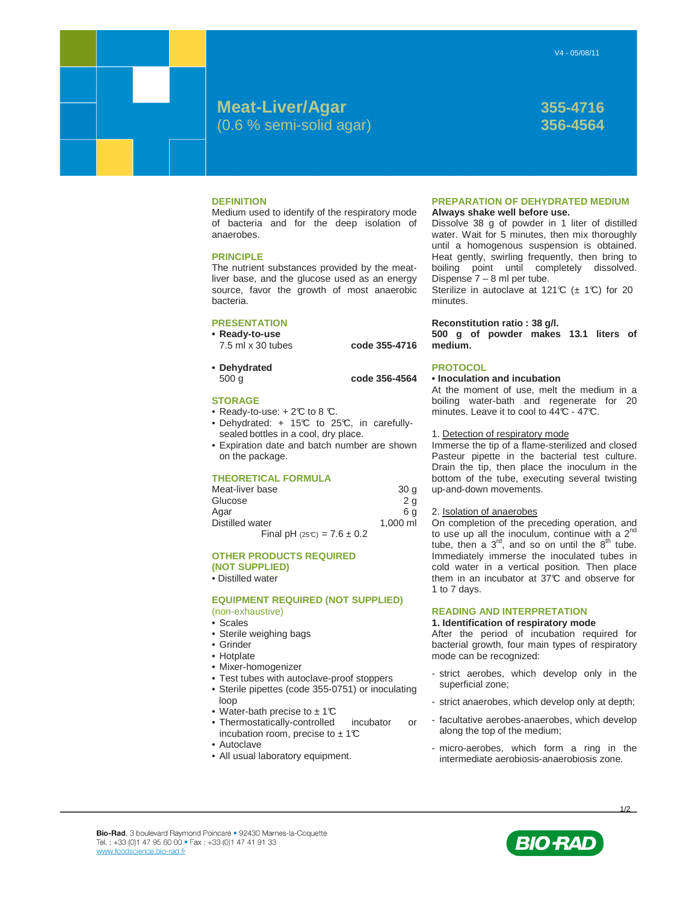# **Meat-Liver/Agar 355-4716** (0.6 % semi-solid agar) **356-4564**

## **DEFINITION**

Medium used to identify of the respiratory mode of bacteria and for the deep isolation of anaerobes.

## **PRINCIPLE**

The nutrient substances provided by the meatliver base, and the glucose used as an energy source, favor the growth of most anaerobic bacteria.

## **PRESENTATION**

- **Ready-to-use**  7.5 ml x 30 tubes **code 355-4716**
- **Dehydrated**

500 g **code 356-4564** 

- **STORAGE**
- Ready-to-use:  $+2^{\circ}C$  to 8  $\circ$ .
- Dehydrated: + 15°C to 25°C, in carefullysealed bottles in a cool, dry place.
- Expiration date and batch number are shown on the package.

## **THEORETICAL FORMULA**

| Meat-liver base                | 30 <sub>q</sub> |
|--------------------------------|-----------------|
| Glucose                        | 2 <sub>a</sub>  |
| Aqar                           | 6 a             |
| Distilled water                | $1.000$ ml      |
| Final pH $(25C) = 7.6 \pm 0.2$ |                 |

## **OTHER PRODUCTS REQUIRED**

- **(NOT SUPPLIED)**
- Distilled water

## **EQUIPMENT REQUIRED (NOT SUPPLIED)**  (non-exhaustive)

- Scales
- Sterile weighing bags
- Grinder
- Hotplate
- Mixer-homogenizer
- Test tubes with autoclave-proof stoppers
- Sterile pipettes (code 355-0751) or inoculating loop
- Water-bath precise to  $\pm$  1°C
- Thermostatically-controlled incubator or incubation room, precise to  $\pm$  1°C
- Autoclave
- All usual laboratory equipment.

## **PREPARATION OF DEHYDRATED MEDIUM Always shake well before use.**

Dissolve 38 g of powder in 1 liter of distilled water. Wait for 5 minutes, then mix thoroughly until a homogenous suspension is obtained. Heat gently, swirling frequently, then bring to boiling point until completely dissolved. Dispense 7 – 8 ml per tube.

Sterilize in autoclave at 121°C ( $\pm$  1°C) for 20 minutes.

## **Reconstitution ratio : 38 g/l.**

**500 g of powder makes 13.1 liters of medium.** 

## **PROTOCOL**

## **• Inoculation and incubation**

At the moment of use, melt the medium in a boiling water-bath and regenerate for 20 minutes. Leave it to cool to 44°C - 47°C.

### 1. Detection of respiratory mode

Immerse the tip of a flame-sterilized and closed Pasteur pipette in the bacterial test culture. Drain the tip, then place the inoculum in the bottom of the tube, executing several twisting up-and-down movements.

2. Isolation of anaerobes

On completion of the preceding operation, and to use up all the inoculum, continue with a 2<sup>nd</sup> tube, then a  $3<sup>rd</sup>$ , and so on until the  $8<sup>th</sup>$  tube. Immediately immerse the inoculated tubes in cold water in a vertical position. Then place them in an incubator at 37°C and observe for 1 to 7 days.

## **READING AND INTERPRETATION**

## **1. Identification of respiratory mode**

After the period of incubation required for bacterial growth, four main types of respiratory mode can be recognized:

- strict aerobes, which develop only in the superficial zone;
- strict anaerobes, which develop only at depth;
- facultative aerobes-anaerobes, which develop along the top of the medium;
- micro-aerobes, which form a ring in the intermediate aerobiosis-anaerobiosis zone.